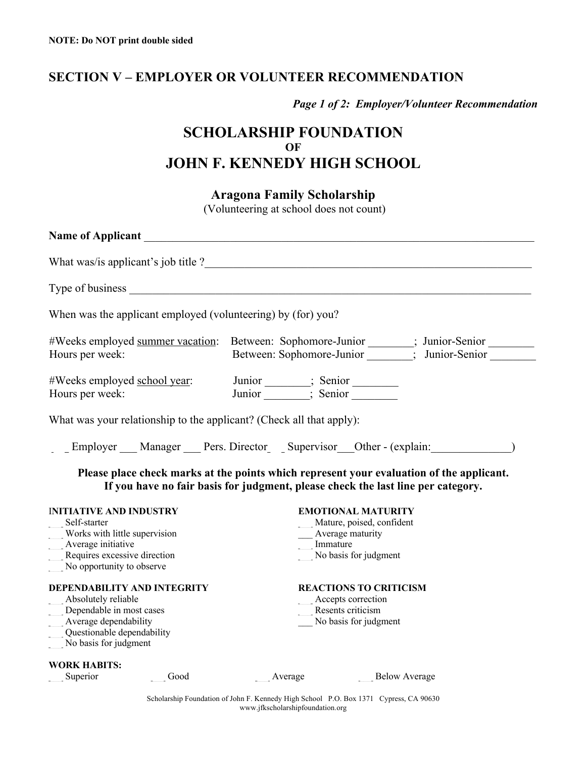## **SECTION V – EMPLOYER OR VOLUNTEER RECOMMENDATION**

*Page 1 of 2: Employer/Volunteer Recommendation* 

# **SCHOLARSHIP FOUNDATION OF JOHN F. KENNEDY HIGH SCHOOL**

### **Aragona Family Scholarship**

(Volunteering at school does not count)

| When was the applicant employed (volunteering) by (for) you?                                                                                                                                                                                                                          |
|---------------------------------------------------------------------------------------------------------------------------------------------------------------------------------------------------------------------------------------------------------------------------------------|
| #Weeks employed summer vacation: Between: Sophomore-Junior _______; Junior-Senior _______<br>Between: Sophomore-Junior _______; Junior-Senior _______<br>Hours per week:                                                                                                              |
| Junior _______; Senior _________<br>Junior _______; Senior __________<br>#Weeks employed school year:<br>Hours per week:                                                                                                                                                              |
| What was your relationship to the applicant? (Check all that apply):                                                                                                                                                                                                                  |
| Employer Manager Pers. Director Supervisor Other - (explain:                                                                                                                                                                                                                          |
| Please place check marks at the points which represent your evaluation of the applicant.<br>If you have no fair basis for judgment, please check the last line per category.                                                                                                          |
| <b>INITIATIVE AND INDUSTRY</b><br><b>EMOTIONAL MATURITY</b><br>Mature, poised, confident<br>Self-starter<br>Works with little supervision<br>Average maturity<br>Average initiative<br>Immature<br>Requires excessive direction<br>No basis for judgment<br>No opportunity to observe |
| <b>DEPENDABILITY AND INTEGRITY</b><br><b>REACTIONS TO CRITICISM</b><br>Absolutely reliable<br>Accepts correction<br>Dependable in most cases<br>Resents criticism<br>Average dependability<br>No basis for judgment<br>Questionable dependability<br>No basis for judgment            |
| <b>WORK HABITS:</b><br>Superior<br>Good<br>Average<br><b>Below Average</b>                                                                                                                                                                                                            |

Scholarship Foundation of John F. Kennedy High School P.O. Box 1371 Cypress, CA 90630 www.jfkscholarshipfoundation.org